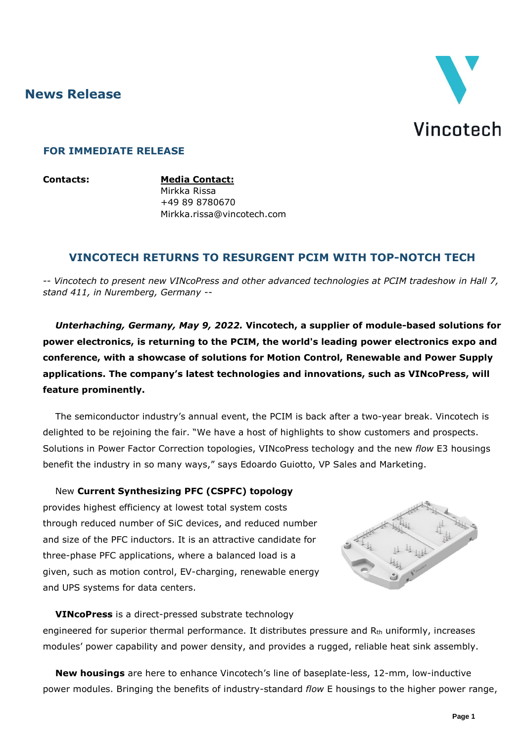**News Release**



#### **FOR IMMEDIATE RELEASE**

**Contacts: Media Contact:** Mirkka Rissa +49 89 8780670 Mirkka.rissa@vincotech.com

# **VINCOTECH RETURNS TO RESURGENT PCIM WITH TOP-NOTCH TECH**

-- *Vincotech to present new VINcoPress and other advanced technologies at PCIM tradeshow in Hall 7, stand 411, in Nuremberg, Germany* --

*Unterhaching, Germany, May 9, 2022.* **Vincotech, a supplier of module-based solutions for power electronics, is returning to the PCIM, the world's leading power electronics expo and conference, with a showcase of solutions for Motion Control, Renewable and Power Supply applications. The company's latest technologies and innovations, such as VINcoPress, will feature prominently.**

The semiconductor industry's annual event, the PCIM is back after a two-year break. Vincotech is delighted to be rejoining the fair. "We have a host of highlights to show customers and prospects. Solutions in Power Factor Correction topologies, VINcoPress techology and the new *flow* E3 housings benefit the industry in so many ways," says Edoardo Guiotto, VP Sales and Marketing.

#### New **Current Synthesizing PFC (CSPFC) topology**

provides highest efficiency at lowest total system costs through reduced number of SiC devices, and reduced number and size of the PFC inductors. It is an attractive candidate for three-phase PFC applications, where a balanced load is a given, such as motion control, EV-charging, renewable energy and UPS systems for data centers.



**VINcoPress** is a direct-pressed substrate technology

engineered for superior thermal performance. It distributes pressure and R<sub>th</sub> uniformly, increases modules' power capability and power density, and provides a rugged, reliable heat sink assembly.

**New housings** are here to enhance Vincotech's line of baseplate-less, 12-mm, low-inductive power modules. Bringing the benefits of industry-standard *flow* E housings to the higher power range,